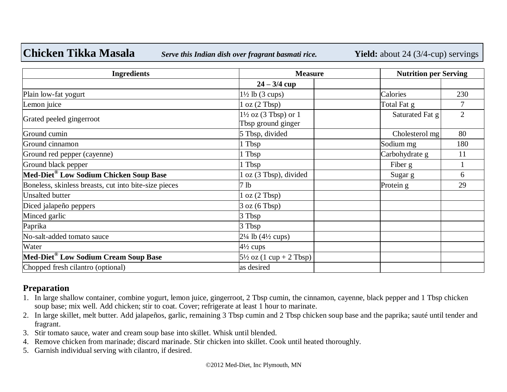**Chicken Tikka Masala** *Serve this Indian dish over fragrant basmati rice.* **Yield:** about 24 (3/4-cup) servings

| <b>Ingredients</b>                                    | <b>Measure</b>                                          |                 | <b>Nutrition per Serving</b> |  |
|-------------------------------------------------------|---------------------------------------------------------|-----------------|------------------------------|--|
|                                                       | $24 - 3/4$ cup                                          |                 |                              |  |
| Plain low-fat yogurt                                  | $1\frac{1}{2}$ lb (3 cups)                              | Calories        | 230                          |  |
| Lemon juice                                           | $\log(2 \text{ Tbsp})$                                  | Total Fat g     |                              |  |
| Grated peeled gingerroot                              | $1\frac{1}{2}$ oz (3 Tbsp) or $1$<br>Tbsp ground ginger | Saturated Fat g | $\overline{2}$               |  |
| Ground cumin                                          | 5 Tbsp, divided                                         | Cholesterol mg  | 80                           |  |
| Ground cinnamon                                       | l Tbsp                                                  | Sodium mg       | 180                          |  |
| Ground red pepper (cayenne)                           | 1 Tbsp                                                  | Carbohydrate g  | 11                           |  |
| Ground black pepper                                   | 1 Tbsp                                                  | Fiber g         |                              |  |
| Med-Diet® Low Sodium Chicken Soup Base                | l oz (3 Tbsp), divided                                  | Sugar g         | 6                            |  |
| Boneless, skinless breasts, cut into bite-size pieces | 7 <sub>lb</sub>                                         | Protein g       | 29                           |  |
| <b>Unsalted butter</b>                                | $\log(2 \text{ Tbsp})$                                  |                 |                              |  |
| Diced jalapeño peppers                                | 3 oz (6 T bsp)                                          |                 |                              |  |
| Minced garlic                                         | 3 Tbsp                                                  |                 |                              |  |
| Paprika                                               | 3 Tbsp                                                  |                 |                              |  |
| No-salt-added tomato sauce                            | $2\frac{1}{4}$ lb (4 $\frac{1}{2}$ cups)                |                 |                              |  |
| Water                                                 | $4\frac{1}{2}$ cups                                     |                 |                              |  |
| Med-Diet® Low Sodium Cream Soup Base                  | $5\frac{1}{2}$ oz $(1 \text{ cup} + 2 \text{ Tbsp})$    |                 |                              |  |
| Chopped fresh cilantro (optional)                     | as desired                                              |                 |                              |  |

## **Preparation**

- 1. In large shallow container, combine yogurt, lemon juice, gingerroot, 2 Tbsp cumin, the cinnamon, cayenne, black pepper and 1 Tbsp chicken soup base; mix well. Add chicken; stir to coat. Cover; refrigerate at least 1 hour to marinate.
- 2. In large skillet, melt butter. Add jalapeños, garlic, remaining 3 Tbsp cumin and 2 Tbsp chicken soup base and the paprika; sauté until tender and fragrant.
- 3. Stir tomato sauce, water and cream soup base into skillet. Whisk until blended.
- 4. Remove chicken from marinade; discard marinade. Stir chicken into skillet. Cook until heated thoroughly.
- 5. Garnish individual serving with cilantro, if desired.